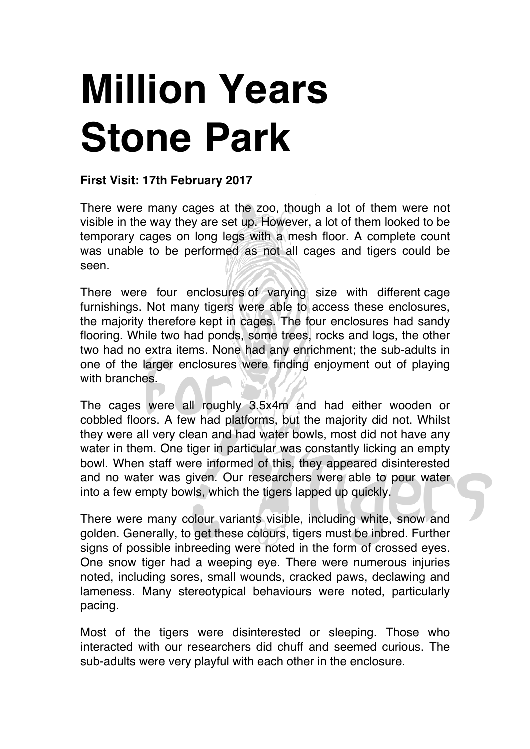## **Million Years Stone Park**

## **First Visit: 17th February 2017**

There were many cages at the zoo, though a lot of them were not visible in the way they are set up. However, a lot of them looked to be temporary cages on long legs with a mesh floor. A complete count was unable to be performed as not all cages and tigers could be seen.

There were four enclosures of varying size with different cage furnishings. Not many tigers were able to access these enclosures, the majority therefore kept in cages. The four enclosures had sandy flooring. While two had ponds, some trees, rocks and logs, the other two had no extra items. None had any enrichment; the sub-adults in one of the larger enclosures were finding enjoyment out of playing with branches.

The cages were all roughly 3.5x4m and had either wooden or cobbled floors. A few had platforms, but the majority did not. Whilst they were all very clean and had water bowls, most did not have any water in them. One tiger in particular was constantly licking an empty bowl. When staff were informed of this, they appeared disinterested and no water was given. Our researchers were able to pour water into a few empty bowls, which the tigers lapped up quickly.

There were many colour variants visible, including white, snow and golden. Generally, to get these colours, tigers must be inbred. Further signs of possible inbreeding were noted in the form of crossed eyes. One snow tiger had a weeping eye. There were numerous injuries noted, including sores, small wounds, cracked paws, declawing and lameness. Many stereotypical behaviours were noted, particularly pacing.

Most of the tigers were disinterested or sleeping. Those who interacted with our researchers did chuff and seemed curious. The sub-adults were very playful with each other in the enclosure.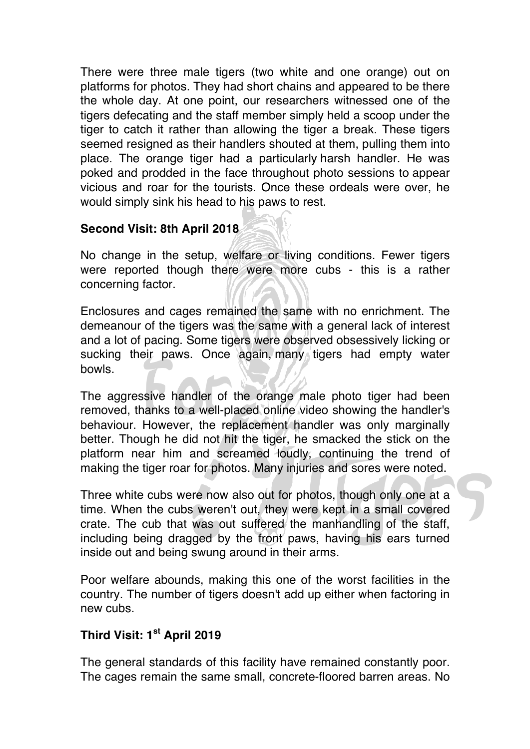There were three male tigers (two white and one orange) out on platforms for photos. They had short chains and appeared to be there the whole day. At one point, our researchers witnessed one of the tigers defecating and the staff member simply held a scoop under the tiger to catch it rather than allowing the tiger a break. These tigers seemed resigned as their handlers shouted at them, pulling them into place. The orange tiger had a particularly harsh handler. He was poked and prodded in the face throughout photo sessions to appear vicious and roar for the tourists. Once these ordeals were over, he would simply sink his head to his paws to rest.

## **Second Visit: 8th April 2018**

No change in the setup, welfare or living conditions. Fewer tigers were reported though there were more cubs - this is a rather concerning factor.

Enclosures and cages remained the same with no enrichment. The demeanour of the tigers was the same with a general lack of interest and a lot of pacing. Some tigers were observed obsessively licking or sucking their paws. Once again, many tigers had empty water bowls.

The aggressive handler of the orange male photo tiger had been removed, thanks to a well-placed online video showing the handler's behaviour. However, the replacement handler was only marginally better. Though he did not hit the tiger, he smacked the stick on the platform near him and screamed loudly, continuing the trend of making the tiger roar for photos. Many injuries and sores were noted.

Three white cubs were now also out for photos, though only one at a time. When the cubs weren't out, they were kept in a small covered crate. The cub that was out suffered the manhandling of the staff, including being dragged by the front paws, having his ears turned inside out and being swung around in their arms.

Poor welfare abounds, making this one of the worst facilities in the country. The number of tigers doesn't add up either when factoring in new cubs.

## **Third Visit: 1st April 2019**

The general standards of this facility have remained constantly poor. The cages remain the same small, concrete-floored barren areas. No